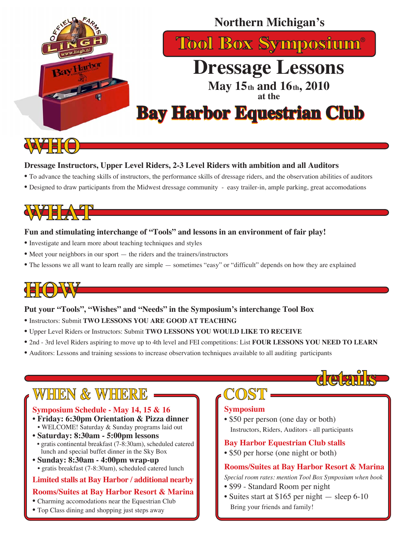

#### **Dressage Instructors, Upper Level Riders, 2-3 Level Riders with ambition and all Auditors**

- To advance the teaching skills of instructors, the performance skills of dressage riders, and the observation abilities of auditors
- Designed to draw participants from the Midwest dressage community easy trailer-in, ample parking, great accomodations

# WHAT

#### **Fun and stimulating interchange of "Tools" and lessons in an environment of fair play!**

- Investigate and learn more about teaching techniques and styles
- Meet your neighbors in our sport the riders and the trainers/instructors
- The lessons we all want to learn really are simple sometimes "easy" or "difficult" depends on how they are explained

# **HOW**

#### **Put your "Tools", "Wishes" and "Needs" in the Symposium's interchange Tool Box**

- Instructors: Submit **TWO LESSONS YOU ARE GOOD AT TEACHING**
- Upper Level Riders or Instructors: Submit **TWO LESSONS YOU WOULD LIKE TO RECEIVE**
- 2nd 3rd level Riders aspiring to move up to 4th level and FEI competitions: List **FOUR LESSONS YOU NEED TO LEARN**
- Auditors: Lessons and training sessions to increase observation techniques available to all auditing participants

## **WHEN & WHERE**

#### **Symposium Schedule - May 14, 15 & 16**

- **Friday: 6:30pm Orientation & Pizza dinner** • WELCOME! Saturday & Sunday programs laid out
- **Saturday: 8:30am 5:00pm lessons**
- gratis continental breakfast (7-8:30am), scheduled catered lunch and special buffet dinner in the Sky Box
- **Sunday: 8:30am 4:00pm wrap-up** • gratis breakfast (7-8:30am), scheduled catered lunch

#### **Limited stalls at Bay Harbor / additional nearby**

#### **Rooms/Suites at Bay Harbor Resort & Marina**

#### • Charming accomodations near the Equestrian Club

• Top Class dining and shopping just steps away

# **COST**

#### **Symposium**

• \$50 per person (one day or both) Instructors, Riders, Auditors - all participants

#### **Bay Harbor Equestrian Club stalls**

• \$50 per horse (one night or both)

#### **Rooms/Suites at Bay Harbor Resort & Marina**

**details**

*Special room rates: mention Tool Box Symposium when book*

- \$99 Standard Room per night
- Suites start at \$165 per night sleep 6-10 Bring your friends and family!